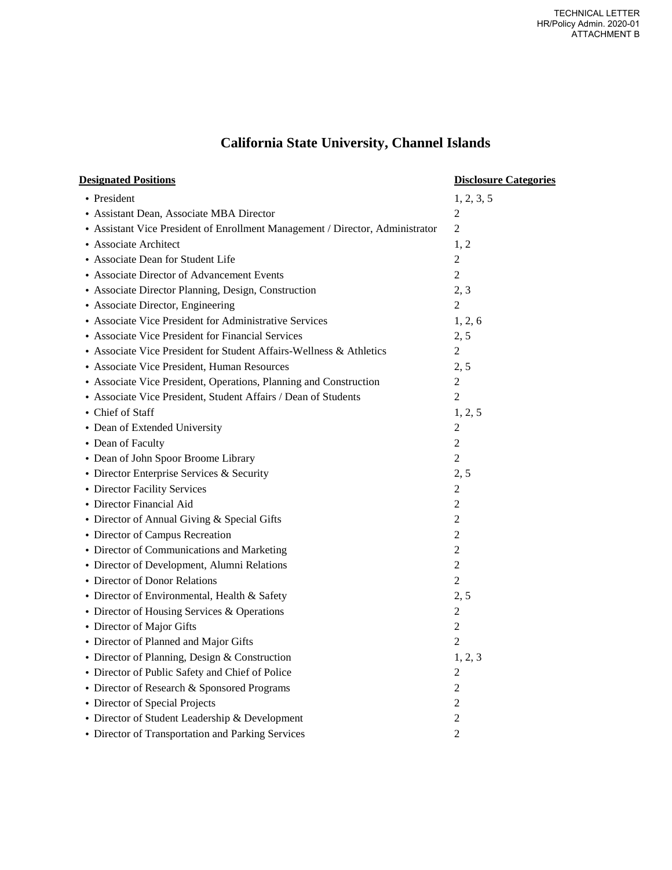## **California State University, Channel Islands**

| <b>Designated Positions</b>                                                   | <b>Disclosure Categories</b> |
|-------------------------------------------------------------------------------|------------------------------|
| • President                                                                   | 1, 2, 3, 5                   |
| • Assistant Dean, Associate MBA Director                                      | 2                            |
| • Assistant Vice President of Enrollment Management / Director, Administrator | $\overline{2}$               |
| • Associate Architect                                                         | 1, 2                         |
| • Associate Dean for Student Life                                             | $\overline{2}$               |
| • Associate Director of Advancement Events                                    | $\mathfrak{2}$               |
| • Associate Director Planning, Design, Construction                           | 2, 3                         |
| • Associate Director, Engineering                                             | $\overline{2}$               |
| • Associate Vice President for Administrative Services                        | 1, 2, 6                      |
| • Associate Vice President for Financial Services                             | 2, 5                         |
| • Associate Vice President for Student Affairs-Wellness & Athletics           | $\overline{c}$               |
| • Associate Vice President, Human Resources                                   | 2, 5                         |
| • Associate Vice President, Operations, Planning and Construction             | $\overline{2}$               |
| • Associate Vice President, Student Affairs / Dean of Students                | $\overline{2}$               |
| • Chief of Staff                                                              | 1, 2, 5                      |
| • Dean of Extended University                                                 | $\boldsymbol{2}$             |
| • Dean of Faculty                                                             | $\overline{c}$               |
| • Dean of John Spoor Broome Library                                           | $\overline{2}$               |
| • Director Enterprise Services & Security                                     | 2, 5                         |
| • Director Facility Services                                                  | $\overline{2}$               |
| • Director Financial Aid                                                      | 2                            |
| • Director of Annual Giving & Special Gifts                                   | $\overline{c}$               |
| • Director of Campus Recreation                                               | $\overline{c}$               |
| • Director of Communications and Marketing                                    | $\overline{2}$               |
| • Director of Development, Alumni Relations                                   | $\overline{c}$               |
| • Director of Donor Relations                                                 | $\mathfrak{2}$               |
| • Director of Environmental, Health & Safety                                  | 2, 5                         |
| • Director of Housing Services & Operations                                   | $\overline{2}$               |
| • Director of Major Gifts                                                     | $\overline{c}$               |
| • Director of Planned and Major Gifts                                         | $\overline{2}$               |
| • Director of Planning, Design & Construction                                 | 1, 2, 3                      |
| • Director of Public Safety and Chief of Police                               | 2                            |
| • Director of Research & Sponsored Programs                                   | 2                            |
| • Director of Special Projects                                                | $\overline{c}$               |
| • Director of Student Leadership & Development                                | $\overline{c}$               |
| • Director of Transportation and Parking Services                             | $\overline{c}$               |